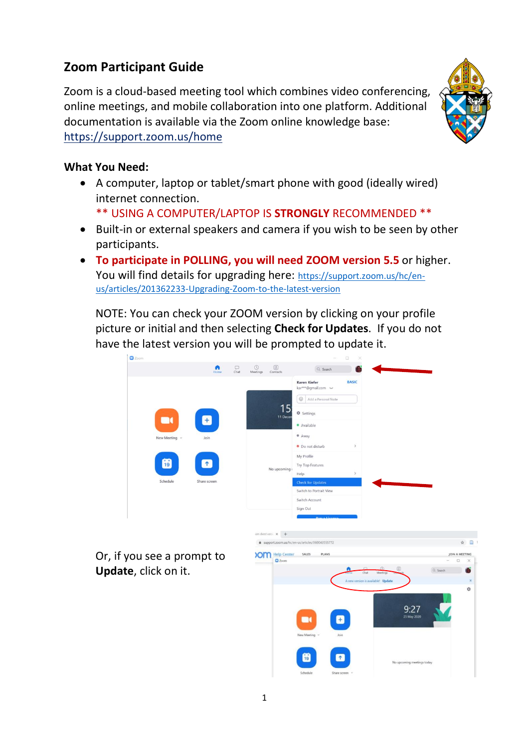# **Zoom Participant Guide**

Zoom is a cloud-based meeting tool which combines video conferencing, online meetings, and mobile collaboration into one platform. Additional documentation is available via the Zoom online knowledge base: <https://support.zoom.us/home>



#### **What You Need:**

• A computer, laptop or tablet/smart phone with good (ideally wired) internet connection.

\*\* USING A COMPUTER/LAPTOP IS **STRONGLY** RECOMMENDED \*\*

- Built-in or external speakers and camera if you wish to be seen by other participants.
- **To participate in POLLING, you will need ZOOM version 5.5** or higher. You will find details for upgrading here: [https://support.zoom.us/hc/en](https://support.zoom.us/hc/en-us/articles/201362233-Upgrading-Zoom-to-the-latest-version)[us/articles/201362233-Upgrading-Zoom-to-the-latest-version](https://support.zoom.us/hc/en-us/articles/201362233-Upgrading-Zoom-to-the-latest-version)

NOTE: You can check your ZOOM version by clicking on your profile picture or initial and then selecting **Check for Updates**. If you do not have the latest version you will be prompted to update it.



Or, if you see a prompt to **Update**, click on it.

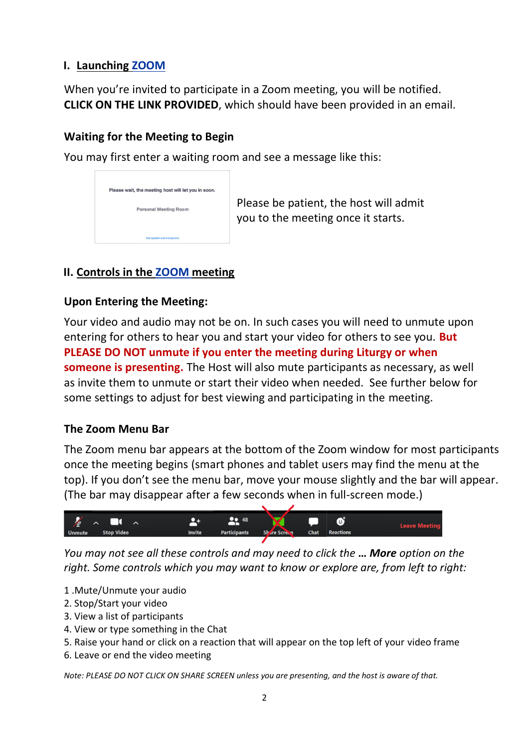### **I. Launching ZOOM**

When you're invited to participate in a Zoom meeting, you will be notified. **CLICK ON THE LINK PROVIDED**, which should have been provided in an email.

## **Waiting for the Meeting to Begin**

You may first enter a waiting room and see a message like this:

| Please wait, the meeting host will let you in soon. |
|-----------------------------------------------------|
|                                                     |
| <b>Personal Meeting Room</b>                        |
|                                                     |
|                                                     |
| Test speaker and microphone                         |

 Please be patient, the host will admit you to the meeting once it starts.

## **II. Controls in the ZOOM meeting**

#### **Upon Entering the Meeting:**

Your video and audio may not be on. In such cases you will need to unmute upon entering for others to hear you and start your video for others to see you. **But PLEASE DO NOT unmute if you enter the meeting during Liturgy or when someone is presenting.** The Host will also mute participants as necessary, as well as invite them to unmute or start their video when needed. See further below for some settings to adjust for best viewing and participating in the meeting.

#### **The Zoom Menu Bar**

The Zoom menu bar appears at the bottom of the Zoom window for most participants once the meeting begins (smart phones and tablet users may find the menu at the top). If you don't see the menu bar, move your mouse slightly and the bar will appear. (The bar may disappear after a few seconds when in full-screen mode.)



*You may not see all these controls and may need to click the … More option on the right. Some controls which you may want to know or explore are, from left to right:*

- 1 .Mute/Unmute your audio
- 2. Stop/Start your video
- 3. View a list of participants
- 4. View or type something in the Chat
- 5. Raise your hand or click on a reaction that will appear on the top left of your video frame
- 6. Leave or end the video meeting

*Note: PLEASE DO NOT CLICK ON SHARE SCREEN unless you are presenting, and the host is aware of that.*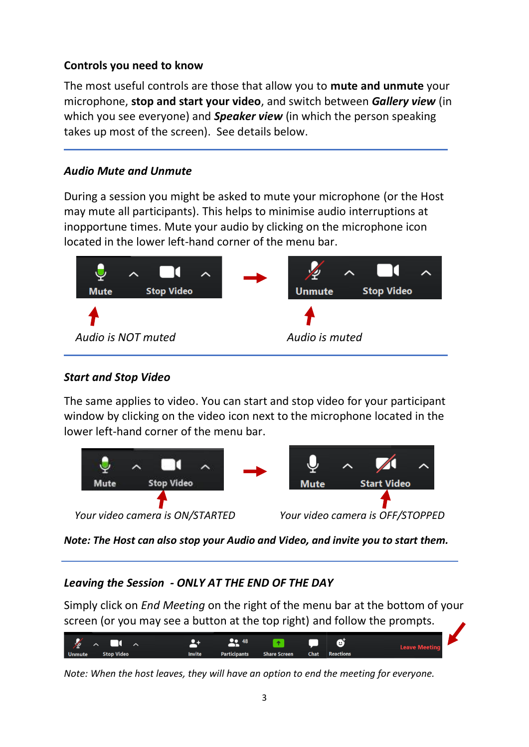## **Controls you need to know**

The most useful controls are those that allow you to **mute and unmute** your microphone, **stop and start your video**, and switch between *Gallery view* (in which you see everyone) and *Speaker view* (in which the person speaking takes up most of the screen). See details below.

## *Audio Mute and Unmute*

During a session you might be asked to mute your microphone (or the Host may mute all participants). This helps to minimise audio interruptions at inopportune times. Mute your audio by clicking on the microphone icon located in the lower left-hand corner of the menu bar.



## *Start and Stop Video*

The same applies to video. You can start and stop video for your participant window by clicking on the video icon next to the microphone located in the lower left-hand corner of the menu bar.



*Note: The Host can also stop your Audio and Video, and invite you to start them.*

## *Leaving the Session - ONLY AT THE END OF THE DAY*

Simply click on *End Meeting* on the right of the menu bar at the bottom of your screen (or you may see a button at the top right) and follow the prompts.



*Note: When the host leaves, they will have an option to end the meeting for everyone.*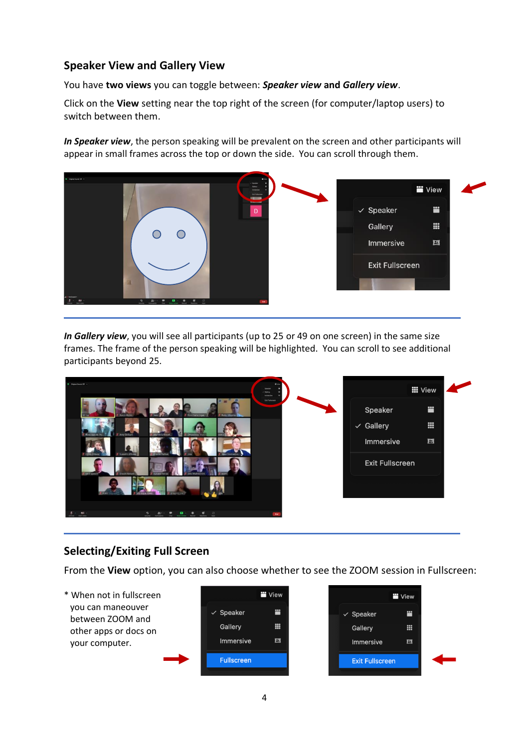#### **Speaker View and Gallery View**

You have **two views** you can toggle between: *Speaker view* **and** *Gallery view*.

Click on the **View** setting near the top right of the screen (for computer/laptop users) to switch between them.

*In Speaker view*, the person speaking will be prevalent on the screen and other participants will appear in small frames across the top or down the side. You can scroll through them.



*In Gallery view*, you will see all participants (up to 25 or 49 on one screen) in the same size frames. The frame of the person speaking will be highlighted. You can scroll to see additional participants beyond 25.



## **Selecting/Exiting Full Screen**

From the **View** option, you can also choose whether to see the ZOOM session in Fullscreen:

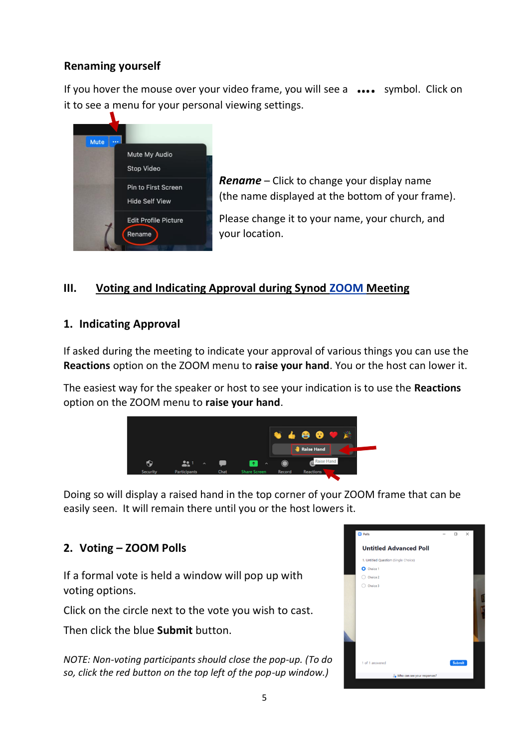### **Renaming yourself**

If you hover the mouse over your video frame, you will see a **….** symbol. Click on it to see a menu for your personal viewing settings.



*Rename* – Click to change your display name (the name displayed at the bottom of your frame).

Please change it to your name, your church, and your location.

#### **III. Voting and Indicating Approval during Synod ZOOM Meeting**

#### **1. Indicating Approval**

If asked during the meeting to indicate your approval of various things you can use the **Reactions** option on the ZOOM menu to **raise your hand**. You or the host can lower it.

The easiest way for the speaker or host to see your indication is to use the **Reactions** option on the ZOOM menu to **raise your hand**.



Doing so will display a raised hand in the top corner of your ZOOM frame that can be easily seen. It will remain there until you or the host lowers it.

## **2. Voting – ZOOM Polls**

If a formal vote is held a window will pop up with voting options.

Click on the circle next to the vote you wish to cast.

Then click the blue **Submit** button.

*NOTE: Non-voting participants should close the pop-up. (To do so, click the red button on the top left of the pop-up window.)*

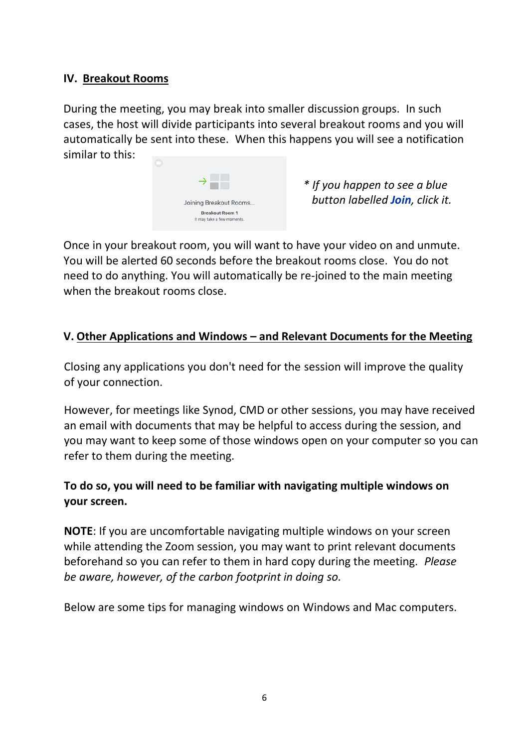#### **IV. Breakout Rooms**

During the meeting, you may break into smaller discussion groups. In such cases, the host will divide participants into several breakout rooms and you will automatically be sent into these. When this happens you will see a notification similar to this:



*\* If you happen to see a blue button labelled Join, click it.*

Once in your breakout room, you will want to have your video on and unmute. You will be alerted 60 seconds before the breakout rooms close. You do not need to do anything. You will automatically be re-joined to the main meeting when the breakout rooms close.

#### **V. Other Applications and Windows – and Relevant Documents for the Meeting**

Closing any applications you don't need for the session will improve the quality of your connection.

However, for meetings like Synod, CMD or other sessions, you may have received an email with documents that may be helpful to access during the session, and you may want to keep some of those windows open on your computer so you can refer to them during the meeting.

## **To do so, you will need to be familiar with navigating multiple windows on your screen.**

**NOTE**: If you are uncomfortable navigating multiple windows on your screen while attending the Zoom session, you may want to print relevant documents beforehand so you can refer to them in hard copy during the meeting. *Please be aware, however, of the carbon footprint in doing so.*

Below are some tips for managing windows on Windows and Mac computers.